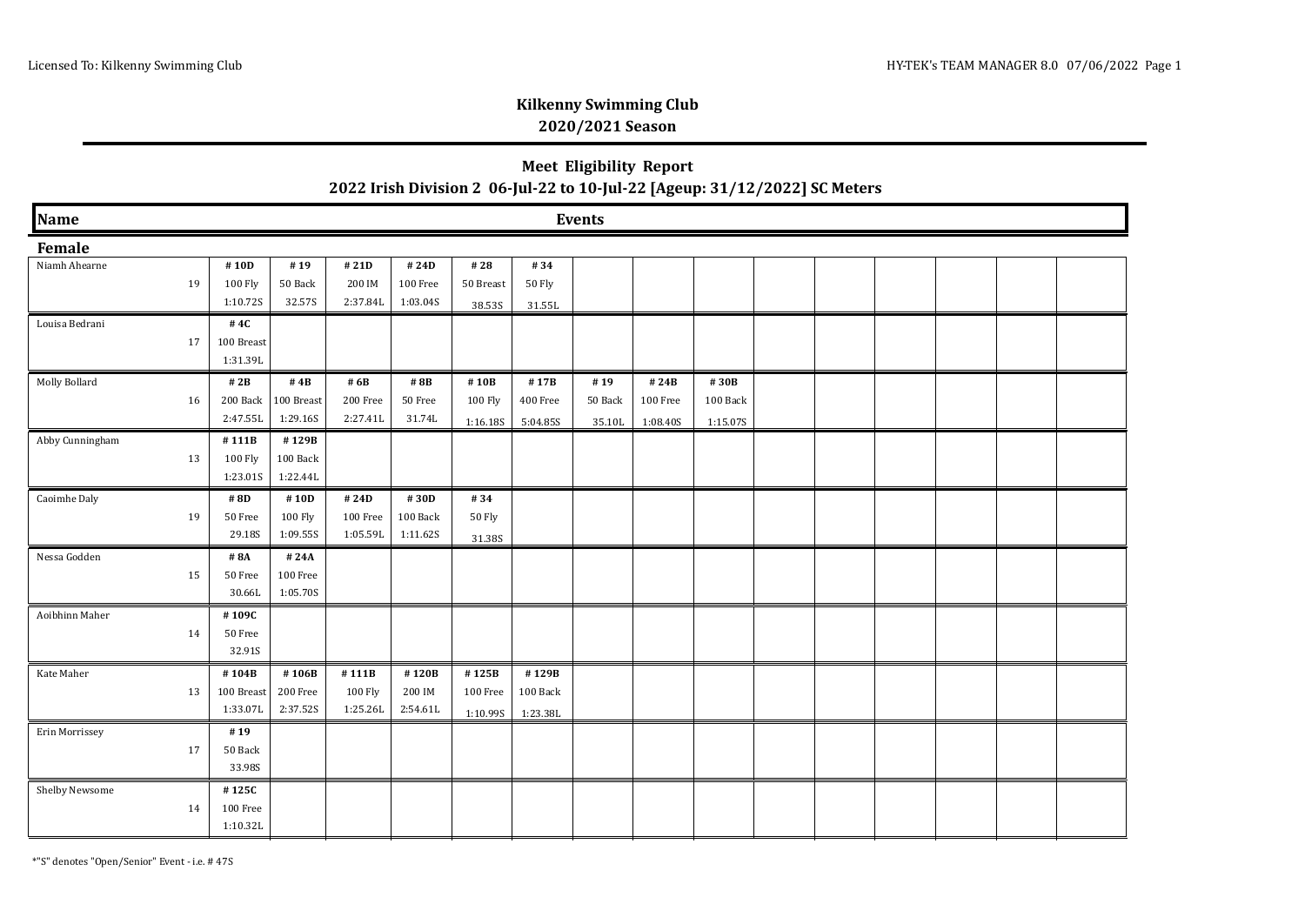### **Meet Eligibility Report 2022 Irish Division 2 06-Jul-22 to 10-Jul-22 [Ageup: 31/12/2022] SC Meters**

| Name            | <b>Events</b> |                      |                        |                      |                   |                     |                      |                   |                      |                      |  |  |  |  |  |  |
|-----------------|---------------|----------------------|------------------------|----------------------|-------------------|---------------------|----------------------|-------------------|----------------------|----------------------|--|--|--|--|--|--|
| Female          |               |                      |                        |                      |                   |                     |                      |                   |                      |                      |  |  |  |  |  |  |
| Niamh Ahearne   |               | #10D                 | #19                    | $\#$ 21D             | #24D              | #28                 | #34                  |                   |                      |                      |  |  |  |  |  |  |
|                 | 19            | 100 Fly              | 50 Back                | 200 IM               | 100 Free          | 50 Breast           | 50 Fly               |                   |                      |                      |  |  |  |  |  |  |
|                 |               | 1:10.72S             | 32.57S                 | 2.37.84L             | 1:03.04S          | 38.53S              | 31.55L               |                   |                      |                      |  |  |  |  |  |  |
| Louisa Bedrani  |               | #4C                  |                        |                      |                   |                     |                      |                   |                      |                      |  |  |  |  |  |  |
|                 | 17            | 100 Breast           |                        |                      |                   |                     |                      |                   |                      |                      |  |  |  |  |  |  |
|                 |               | 1:31.39L             |                        |                      |                   |                     |                      |                   |                      |                      |  |  |  |  |  |  |
| Molly Bollard   |               | #2B                  | # $4B$                 | # 6B                 | #8B               | #10B                | #17B                 | #19               | #24B                 | #30B                 |  |  |  |  |  |  |
|                 | 16            | 200 Back<br>2:47.55L | 100 Breast<br>1:29.16S | 200 Free<br>2.27.41L | 50 Free<br>31.74L | 100 Fly<br>1:16.18S | 400 Free<br>5:04.85S | 50 Back<br>35.10L | 100 Free<br>1:08.40S | 100 Back<br>1:15.07S |  |  |  |  |  |  |
| Abby Cunningham |               | #111B                | #129B                  |                      |                   |                     |                      |                   |                      |                      |  |  |  |  |  |  |
|                 | 13            | 100 Fly              | 100 Back               |                      |                   |                     |                      |                   |                      |                      |  |  |  |  |  |  |
|                 |               | 1:23.01S             | 1:22.44L               |                      |                   |                     |                      |                   |                      |                      |  |  |  |  |  |  |
| Caoimhe Daly    |               | #8D                  | #10D                   | #24D                 | #30D              | #34                 |                      |                   |                      |                      |  |  |  |  |  |  |
|                 | 19            | 50 Free              | 100 Fly                | 100 Free             | 100 Back          | 50 Fly              |                      |                   |                      |                      |  |  |  |  |  |  |
|                 |               | 29.18S               | 1:09.55S               | 1:05.59L             | 1:11.62S          | 31.38S              |                      |                   |                      |                      |  |  |  |  |  |  |
| Nessa Godden    |               | #8A                  | #24A                   |                      |                   |                     |                      |                   |                      |                      |  |  |  |  |  |  |
|                 | 15            | 50 Free              | 100 Free               |                      |                   |                     |                      |                   |                      |                      |  |  |  |  |  |  |
|                 |               | 30.66L               | 1:05.70S               |                      |                   |                     |                      |                   |                      |                      |  |  |  |  |  |  |
| Aoibhinn Maher  |               | #109C                |                        |                      |                   |                     |                      |                   |                      |                      |  |  |  |  |  |  |
|                 | 14            | 50 Free<br>32.91S    |                        |                      |                   |                     |                      |                   |                      |                      |  |  |  |  |  |  |
|                 |               |                      |                        |                      |                   |                     |                      |                   |                      |                      |  |  |  |  |  |  |
| Kate Maher      | 13            | #104B<br>100 Breast  | #106B<br>200 Free      | #111B<br>100 Fly     | #120B<br>200 IM   | #125B<br>100 Free   | #129B<br>100 Back    |                   |                      |                      |  |  |  |  |  |  |
|                 |               | 1:33.07L             | 2:37.52S               | 1:25.26L             | 2:54.61L          |                     |                      |                   |                      |                      |  |  |  |  |  |  |
| Erin Morrissey  |               | #19                  |                        |                      |                   | 1:10.99S            | 1:23.38L             |                   |                      |                      |  |  |  |  |  |  |
|                 | 17            | 50 Back              |                        |                      |                   |                     |                      |                   |                      |                      |  |  |  |  |  |  |
|                 |               | 33.98S               |                        |                      |                   |                     |                      |                   |                      |                      |  |  |  |  |  |  |
| Shelby Newsome  |               | #125C                |                        |                      |                   |                     |                      |                   |                      |                      |  |  |  |  |  |  |
|                 | 14            | 100 Free             |                        |                      |                   |                     |                      |                   |                      |                      |  |  |  |  |  |  |
|                 |               | 1:10.32L             |                        |                      |                   |                     |                      |                   |                      |                      |  |  |  |  |  |  |

\*"S" denotes "Open/Senior" Event - i.e. # 47S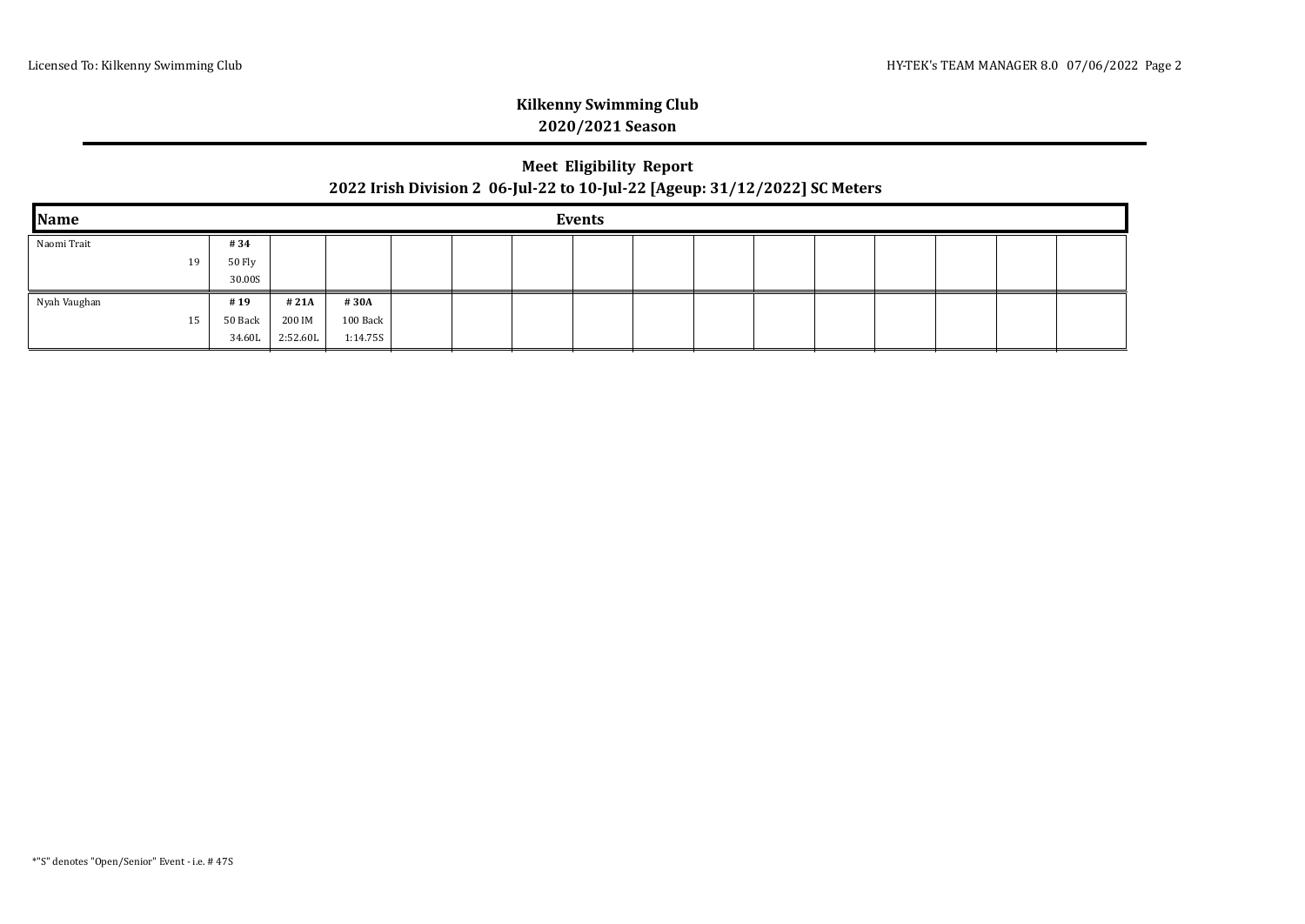### **Meet Eligibility Report 2022 Irish Division 2 06-Jul-22 to 10-Jul-22 [Ageup: 31/12/2022] SC Meters**

| Name         | <b>Events</b> |          |          |  |  |  |  |  |  |  |  |  |  |  |  |
|--------------|---------------|----------|----------|--|--|--|--|--|--|--|--|--|--|--|--|
| Naomi Trait  | #34           |          |          |  |  |  |  |  |  |  |  |  |  |  |  |
| 19           | 50 Fly        |          |          |  |  |  |  |  |  |  |  |  |  |  |  |
|              | 30.00S        |          |          |  |  |  |  |  |  |  |  |  |  |  |  |
| Nyah Vaughan | #19           | #21A     | #30A     |  |  |  |  |  |  |  |  |  |  |  |  |
| 15           | 50 Back       | 200 IM   | 100 Back |  |  |  |  |  |  |  |  |  |  |  |  |
|              | 34.60L        | 2:52.60L | 1:14.755 |  |  |  |  |  |  |  |  |  |  |  |  |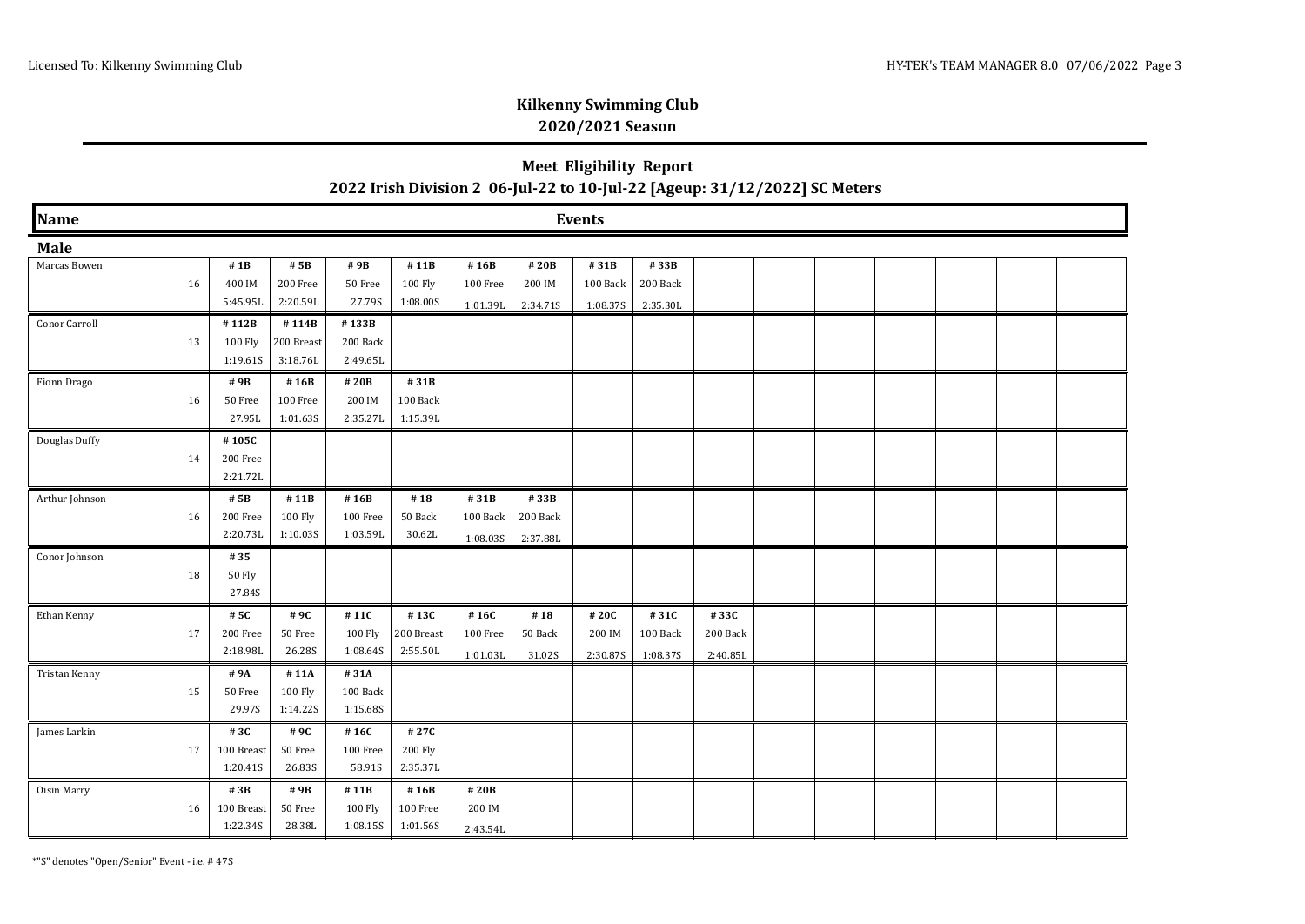# **Meet Eligibility Report 2022 Irish Division 2 06-Jul-22 to 10-Jul-22 [Ageup: 31/12/2022] SC Meters**

| Name<br><b>Events</b> |                  |                |                 |                    |                  |                |                |                  |                  |  |  |  |  |  |  |
|-----------------------|------------------|----------------|-----------------|--------------------|------------------|----------------|----------------|------------------|------------------|--|--|--|--|--|--|
| Male                  |                  |                |                 |                    |                  |                |                |                  |                  |  |  |  |  |  |  |
| Marcas Bowen          | #1B              | # 5B           | #9B             | #11B               | #16B             | #20B           | #31B           | #33B             |                  |  |  |  |  |  |  |
| 16                    | 400 IM           | 200 Free       | 50 Free         | 100 Fly            | 100 Free         | 200 IM         | 100 Back       | 200 Back         |                  |  |  |  |  |  |  |
|                       | 5:45.95L         | 2:20.59L       | 27.79S          | 1:08.00S           | 1:01.39L         | 2:34.715       | 1:08.37S       | 2:35.30L         |                  |  |  |  |  |  |  |
| Conor Carroll         | #112B            | #114B          | #133B           |                    |                  |                |                |                  |                  |  |  |  |  |  |  |
| 13                    | 100 Fly          | 200 Breast     | 200 Back        |                    |                  |                |                |                  |                  |  |  |  |  |  |  |
|                       | 1:19.61S         | 3:18.76L       | 2:49.65L        |                    |                  |                |                |                  |                  |  |  |  |  |  |  |
| Fionn Drago           | #9B              | #16B           | #20B            | #31B               |                  |                |                |                  |                  |  |  |  |  |  |  |
| 16                    | 50 Free          | 100 Free       | 200 IM          | 100 Back           |                  |                |                |                  |                  |  |  |  |  |  |  |
|                       | 27.95L           | 1:01.63S       | 2:35.27L        | 1:15.39L           |                  |                |                |                  |                  |  |  |  |  |  |  |
| Douglas Duffy         | #105C            |                |                 |                    |                  |                |                |                  |                  |  |  |  |  |  |  |
| 14                    | 200 Free         |                |                 |                    |                  |                |                |                  |                  |  |  |  |  |  |  |
|                       | 2:21.72L         |                |                 |                    |                  |                |                |                  |                  |  |  |  |  |  |  |
| Arthur Johnson        | # 5B             | #11B           | #16B            | #18                | #31B             | #33B           |                |                  |                  |  |  |  |  |  |  |
| 16                    | 200 Free         | 100 Fly        | 100 Free        | 50 Back            | 100 Back         | 200 Back       |                |                  |                  |  |  |  |  |  |  |
|                       | 2:20.73L         | 1:10.03S       | 1:03.59L        | 30.62L             | 1:08.035         | 2:37.88L       |                |                  |                  |  |  |  |  |  |  |
| Conor Johnson         | #35              |                |                 |                    |                  |                |                |                  |                  |  |  |  |  |  |  |
| 18                    | 50 Fly<br>27.84S |                |                 |                    |                  |                |                |                  |                  |  |  |  |  |  |  |
|                       |                  |                |                 |                    |                  |                |                |                  |                  |  |  |  |  |  |  |
| Ethan Kenny<br>17     | # 5C<br>200 Free | #9C<br>50 Free | #11C<br>100 Fly | #13C<br>200 Breast | #16C<br>100 Free | #18<br>50 Back | #20C<br>200 IM | #31C<br>100 Back | #33C<br>200 Back |  |  |  |  |  |  |
|                       | 2:18.98L         | 26.28S         | 1:08.64S        | 2:55.50L           |                  |                |                |                  |                  |  |  |  |  |  |  |
|                       | #9A              | # 11A          | #31A            |                    | 1:01.03L         | 31.02S         | 2:30.87S       | 1:08.375         | 2:40.85L         |  |  |  |  |  |  |
| Tristan Kenny<br>15   | 50 Free          | 100 Fly        | 100 Back        |                    |                  |                |                |                  |                  |  |  |  |  |  |  |
|                       | 29.97S           | 1:14.22S       | 1:15.68S        |                    |                  |                |                |                  |                  |  |  |  |  |  |  |
| James Larkin          | #3C              | #9C            | #16C            | #27C               |                  |                |                |                  |                  |  |  |  |  |  |  |
| 17                    | 100 Breast       | 50 Free        | 100 Free        | 200 Fly            |                  |                |                |                  |                  |  |  |  |  |  |  |
|                       | 1:20.41S         | 26.83S         | 58.91S          | 2:35.37L           |                  |                |                |                  |                  |  |  |  |  |  |  |
| Oisin Marry           | #3B              | #9B            | #11B            | #16B               | #20B             |                |                |                  |                  |  |  |  |  |  |  |
| 16                    | 100 Breast       | 50 Free        | 100 Fly         | 100 Free           | 200 IM           |                |                |                  |                  |  |  |  |  |  |  |
|                       | 1:22.34S         | 28.38L         | 1:08.155        | 1:01.56S           | 2:43.54L         |                |                |                  |                  |  |  |  |  |  |  |

\*"S" denotes "Open/Senior" Event - i.e. # 47S